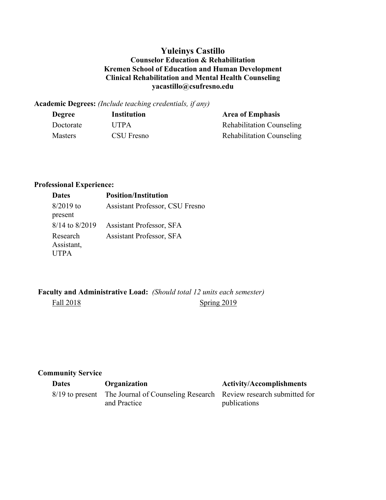### **Yuleinys Castillo Counselor Education & Rehabilitation Kremen School of Education and Human Development Clinical Rehabilitation and Mental Health Counseling yacastillo@csufresno.edu**

**Academic Degrees:** *(Include teaching credentials, if any)*

| <b>Degree</b>  | <b>Institution</b> | <b>Area of Emphasis</b>          |
|----------------|--------------------|----------------------------------|
| Doctorate      | <b>UTPA</b>        | <b>Rehabilitation Counseling</b> |
| <b>Masters</b> | CSU Fresno         | <b>Rehabilitation Counseling</b> |

# **Professional Experience:**

| <b>Dates</b>       | <b>Position/Institution</b>            |  |
|--------------------|----------------------------------------|--|
| $8/2019$ to        | <b>Assistant Professor, CSU Fresno</b> |  |
| present            |                                        |  |
| $8/14$ to $8/2019$ | <b>Assistant Professor, SFA</b>        |  |
| Research           | <b>Assistant Professor, SFA</b>        |  |
| Assistant,         |                                        |  |
| <b>UTPA</b>        |                                        |  |

**Faculty and Administrative Load:** *(Should total 12 units each semester)*  Fall 2018 Spring 2019

## **Community Service**

| <b>Dates</b> | Organization                                                                                     | <b>Activity/Accomplishments</b> |
|--------------|--------------------------------------------------------------------------------------------------|---------------------------------|
|              | 8/19 to present The Journal of Counseling Research Review research submitted for<br>and Practice | publications                    |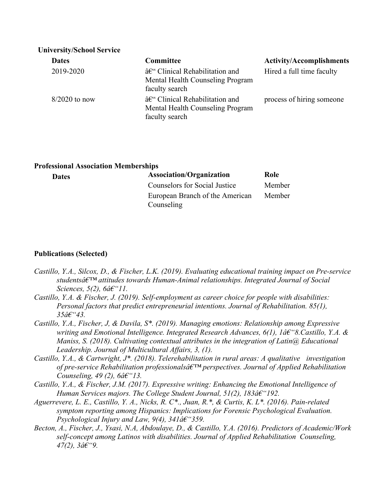| <b>University/School Service</b> |                                                                                                  |                                 |  |  |
|----------------------------------|--------------------------------------------------------------------------------------------------|---------------------------------|--|--|
| <b>Dates</b>                     | <b>Committee</b>                                                                                 | <b>Activity/Accomplishments</b> |  |  |
| 2019-2020                        | $\hat{a}\in$ " Clinical Rehabilitation and<br>Mental Health Counseling Program<br>faculty search | Hired a full time faculty       |  |  |
| $8/2020$ to now                  | – Clinical Rehabilitation and<br>Mental Health Counseling Program<br>faculty search              | process of hiring someone       |  |  |

#### **Professional Association Memberships**

| <b>Dates</b> | <b>Association/Organization</b> | Role   |
|--------------|---------------------------------|--------|
|              | Counselors for Social Justice   | Member |
|              | European Branch of the American | Member |
|              | Counseling                      |        |

#### **Publications (Selected)**

- *Castillo, Y.A., Silcox, D., & Fischer, L.K. (2019). Evaluating educational training impact on Pre-service*  studentsâ€<sup>TM</sup> attitudes towards Human-Animal relationships. Integrated Journal of Social *Sciences, 5(2), 6â*€"11.
- *Castillo, Y.A. & Fischer, J. (2019). Self-employment as career choice for people with disabilities: Personal factors that predict entrepreneurial intentions. Journal of Rehabilitation. 85(1),*   $35a\epsilon$ <sup>43.</sup>
- *Castillo, Y.A., Fischer, J, & Davila, S\*. (2019). Managing emotions: Relationship among Expressive writing and Emotional Intelligence. Integrated Research Advances, 6(1), 1†"8. Castillo, Y.A. & Maniss, S. (2018). Cultivating contextual attributes in the integration of Latin@ Educational Leadership. Journal of Multicultural Affairs, 3, (1).*
- *Castillo, Y.A., & Cartwright, J\*. (2018). Telerehabilitation in rural areas: A qualitative investigation*  of pre-service Rehabilitation professionalsâ $\epsilon^{TM}$  perspectives. Journal of Applied Rehabilitation *Counseling, 49 (2),*  $6\hat{a} \epsilon$ " $13$ .
- *Castillo, Y.A., & Fischer, J.M. (2017). Expressive writing: Enhancing the Emotional Intelligence of Human Services majors. The College Student Journal, 51(2), 183â€* "192.
- *Aguerrevere, L. E., Castillo, Y. A., Nicks, R. C\*., Juan, R.\*, & Curtis, K. L\*. (2016). Pain-related symptom reporting among Hispanics: Implications for Forensic Psychological Evaluation. Psychological Injury and Law, 9(4), 341* $\hat{a}\epsilon$ "359.
- *Becton, A., Fischer, J., Ysasi, N.A, Abdoulaye, D., & Castillo, Y.A. (2016). Predictors of Academic/Work self-concept among Latinos with disabilities. Journal of Applied Rehabilitation Counseling,*   $47(2)$ ,  $3\hat{a}\hat{\epsilon}$ <sup>"9</sup>.